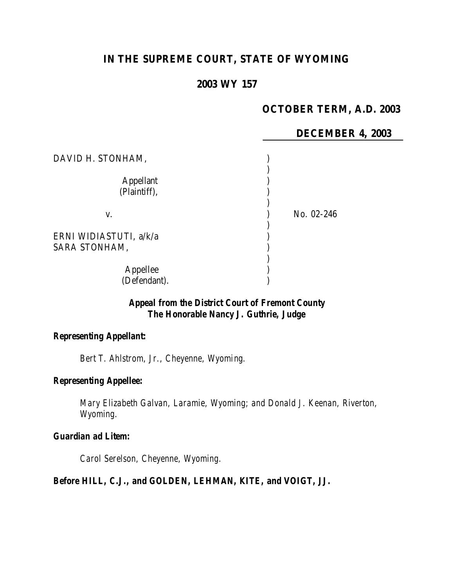# **IN THE SUPREME COURT, STATE OF WYOMING**

# **2003 WY 157**

# **OCTOBER TERM, A.D. 2003**

#### **DECEMBER 4, 2003**

| DAVID H. STONHAM,                       |            |
|-----------------------------------------|------------|
| <b>Appellant</b><br>(Plaintiff),        |            |
| V.                                      | No. 02-246 |
| ERNI WIDIASTUTI, a/k/a<br>SARA STONHAM, |            |
| Appellee<br>(Defendant).                |            |

# *Appeal from the District Court of Fremont County The Honorable Nancy J. Guthrie, Judge*

# *Representing Appellant:*

*Bert T. Ahlstrom, Jr., Cheyenne, Wyoming.*

# *Representing Appellee:*

*Mary Elizabeth Galvan, Laramie, Wyoming; and Donald J. Keenan, Riverton, Wyoming.*

### *Guardian ad Litem:*

*Carol Serelson, Cheyenne, Wyoming.*

### *Before HILL, C.J., and GOLDEN, LEHMAN, KITE, and VOIGT, JJ.*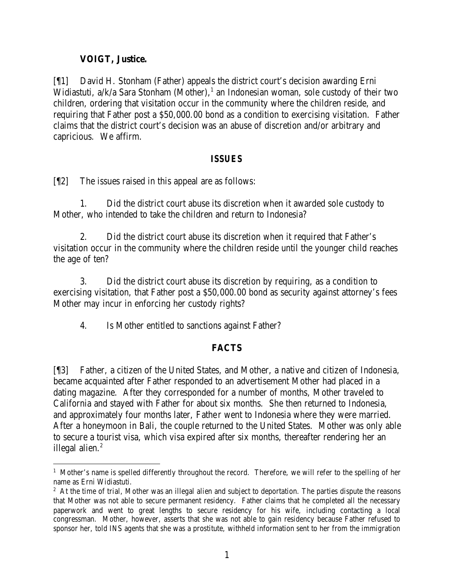# **VOIGT, Justice.**

[¶1] David H. Stonham (Father) appeals the district court's decision awarding Erni Widiastuti, a/k/a Sara Stonham (Mother),<sup>1</sup> an Indonesian woman, sole custody of their two children, ordering that visitation occur in the community where the children reside, and requiring that Father post a \$50,000.00 bond as a condition to exercising visitation. Father claims that the district court's decision was an abuse of discretion and/or arbitrary and capricious. We affirm.

## *ISSUES*

[¶2] The issues raised in this appeal are as follows:

1. Did the district court abuse its discretion when it awarded sole custody to Mother, who intended to take the children and return to Indonesia?

2. Did the district court abuse its discretion when it required that Father's visitation occur in the community where the children reside until the younger child reaches the age of ten?

3. Did the district court abuse its discretion by requiring, as a condition to exercising visitation, that Father post a \$50,000.00 bond as security against attorney's fees Mother may incur in enforcing her custody rights?

4. Is Mother entitled to sanctions against Father?

# **FACTS**

[¶3] Father, a citizen of the United States, and Mother, a native and citizen of Indonesia, became acquainted after Father responded to an advertisement Mother had placed in a dating magazine. After they corresponded for a number of months, Mother traveled to California and stayed with Father for about six months. She then returned to Indonesia, and approximately four months later, Father went to Indonesia where they were married. After a honeymoon in Bali, the couple returned to the United States. Mother was only able to secure a tourist visa, which visa expired after six months, thereafter rendering her an illegal alien. $<sup>2</sup>$ </sup>

 <sup>1</sup> Mother's name is spelled differently throughout the record. Therefore, we will refer to the spelling of her name as Erni Widiastuti.

 $2$  At the time of trial, Mother was an illegal alien and subject to deportation. The parties dispute the reasons that Mother was not able to secure permanent residency. Father claims that he completed all the necessary paperwork and went to great lengths to secure residency for his wife, including contacting a local congressman. Mother, however, asserts that she was not able to gain residency because Father refused to sponsor her, told INS agents that she was a prostitute, withheld information sent to her from the immigration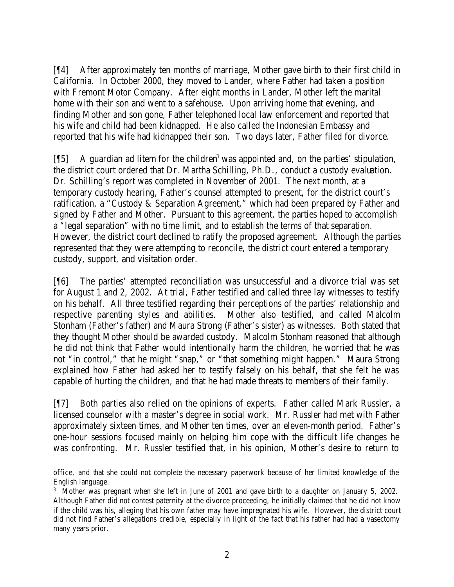[¶4] After approximately ten months of marriage, Mother gave birth to their first child in California. In October 2000, they moved to Lander, where Father had taken a position with Fremont Motor Company. After eight months in Lander, Mother left the marital home with their son and went to a safehouse. Upon arriving home that evening, and finding Mother and son gone, Father telephoned local law enforcement and reported that his wife and child had been kidnapped. He also called the Indonesian Embassy and reported that his wife had kidnapped their son. Two days later, Father filed for divorce.

[15] A guardian ad litem for the children<sup>3</sup> was appointed and, on the parties' stipulation, the district court ordered that Dr. Martha Schilling, Ph.D., conduct a custody evaluation. Dr. Schilling's report was completed in November of 2001. The next month, at a temporary custody hearing, Father's counsel attempted to present, for the district court's ratification, a "Custody & Separation Agreement," which had been prepared by Father and signed by Father and Mother. Pursuant to this agreement, the parties hoped to accomplish a "legal separation" with no time limit, and to establish the terms of that separation. However, the district court declined to ratify the proposed agreement. Although the parties represented that they were attempting to reconcile, the district court entered a temporary custody, support, and visitation order.

[¶6] The parties' attempted reconciliation was unsuccessful and a divorce trial was set for August 1 and 2, 2002. At trial, Father testified and called three lay witnesses to testify on his behalf. All three testified regarding their perceptions of the parties' relationship and respective parenting styles and abilities. Mother also testified, and called Malcolm Stonham (Father's father) and Maura Strong (Father's sister) as witnesses. Both stated that they thought Mother should be awarded custody. Malcolm Stonham reasoned that although he did not think that Father would intentionally harm the children, he worried that he was not "in control," that he might "snap," or "that something might happen." Maura Strong explained how Father had asked her to testify falsely on his behalf, that she felt he was capable of hurting the children, and that he had made threats to members of their family.

[¶7] Both parties also relied on the opinions of experts. Father called Mark Russler, a licensed counselor with a master's degree in social work. Mr. Russler had met with Father approximately sixteen times, and Mother ten times, over an eleven-month period. Father's one-hour sessions focused mainly on helping him cope with the difficult life changes he was confronting. Mr. Russler testified that, in his opinion, Mother's desire to return to

office, and that she could not complete the necessary paperwork because of her limited knowledge of the English language.

<sup>&</sup>lt;sup>3</sup> Mother was pregnant when she left in June of 2001 and gave birth to a daughter on January 5, 2002. Although Father did not contest paternity at the divorce proceeding, he initially claimed that he did not know if the child was his, alleging that his own father may have impregnated his wife. However, the district court did not find Father's allegations credible, especially in light of the fact that his father had had a vasectomy many years prior.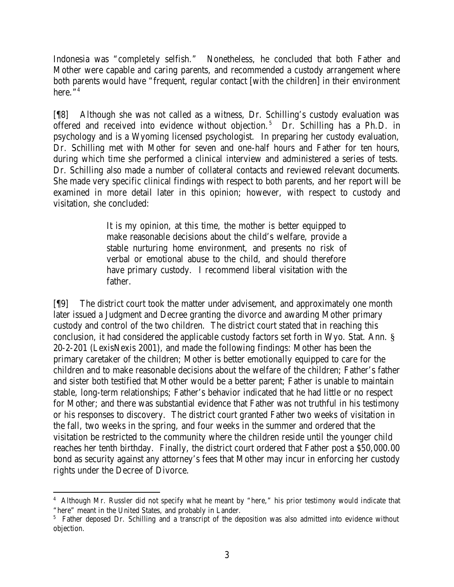Indonesia was "completely selfish." Nonetheless, he concluded that both Father and Mother were capable and caring parents, and recommended a custody arrangement where both parents would have "frequent, regular contact [with the children] in their environment here. $"^4$ 

[¶8] Although she was not called as a witness, Dr. Schilling's custody evaluation was offered and received into evidence without objection.<sup>5</sup> Dr. Schilling has a Ph.D. in psychology and is a Wyoming licensed psychologist. In preparing her custody evaluation, Dr. Schilling met with Mother for seven and one-half hours and Father for ten hours, during which time she performed a clinical interview and administered a series of tests. Dr. Schilling also made a number of collateral contacts and reviewed relevant documents. She made very specific clinical findings with respect to both parents, and her report will be examined in more detail later in this opinion; however, with respect to custody and visitation, she concluded:

> It is my opinion, at this time, the mother is better equipped to make reasonable decisions about the child's welfare, provide a stable nurturing home environment, and presents no risk of verbal or emotional abuse to the child, and should therefore have primary custody. I recommend liberal visitation with the father.

[¶9] The district court took the matter under advisement, and approximately one month later issued a Judgment and Decree granting the divorce and awarding Mother primary custody and control of the two children. The district court stated that in reaching this conclusion, it had considered the applicable custody factors set forth in Wyo. Stat. Ann. § 20-2-201 (LexisNexis 2001), and made the following findings: Mother has been the primary caretaker of the children; Mother is better emotionally equipped to care for the children and to make reasonable decisions about the welfare of the children; Father's father and sister both testified that Mother would be a better parent; Father is unable to maintain stable, long-term relationships; Father's behavior indicated that he had little or no respect for Mother; and there was substantial evidence that Father was not truthful in his testimony or his responses to discovery. The district court granted Father two weeks of visitation in the fall, two weeks in the spring, and four weeks in the summer and ordered that the visitation be restricted to the community where the children reside until the younger child reaches her tenth birthday. Finally, the district court ordered that Father post a \$50,000.00 bond as security against any attorney's fees that Mother may incur in enforcing her custody rights under the Decree of Divorce.

 <sup>4</sup> Although Mr. Russler did not specify what he meant by "here," his prior testimony would indicate that "here" meant in the United States, and probably in Lander.

<sup>&</sup>lt;sup>5</sup> Father deposed Dr. Schilling and a transcript of the deposition was also admitted into evidence without objection.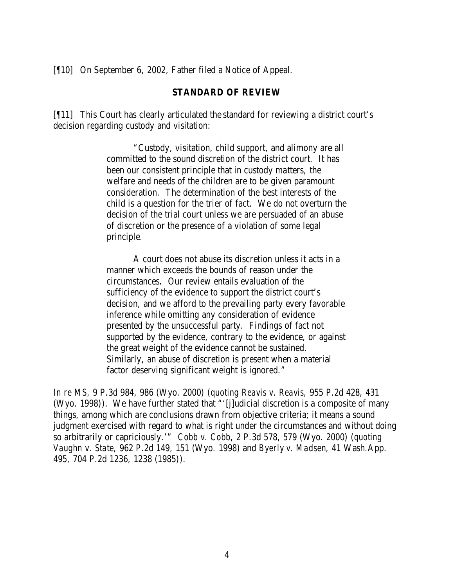[¶10] On September 6, 2002, Father filed a Notice of Appeal.

### **STANDARD OF REVIEW**

[¶11] This Court has clearly articulated the standard for reviewing a district court's decision regarding custody and visitation:

> "Custody, visitation, child support, and alimony are all committed to the sound discretion of the district court. It has been our consistent principle that in custody matters, the welfare and needs of the children are to be given paramount consideration. The determination of the best interests of the child is a question for the trier of fact. We do not overturn the decision of the trial court unless we are persuaded of an abuse of discretion or the presence of a violation of some legal principle.

> A court does not abuse its discretion unless it acts in a manner which exceeds the bounds of reason under the circumstances. Our review entails evaluation of the sufficiency of the evidence to support the district court's decision, and we afford to the prevailing party every favorable inference while omitting any consideration of evidence presented by the unsuccessful party. Findings of fact not supported by the evidence, contrary to the evidence, or against the great weight of the evidence cannot be sustained. Similarly, an abuse of discretion is present when a material factor deserving significant weight is ignored."

*In re MS,* 9 P.3d 984, 986 (Wyo. 2000) (*quoting Reavis v. Reavis,* 955 P.2d 428, 431 (Wyo. 1998)). We have further stated that "'[j]udicial discretion is a composite of many things, among which are conclusions drawn from objective criteria; it means a sound judgment exercised with regard to what is right under the circumstances and without doing so arbitrarily or capriciously.'" *Cobb v. Cobb,* 2 P.3d 578, 579 (Wyo. 2000) (*quoting Vaughn v. State,* 962 P.2d 149, 151 (Wyo. 1998) and *Byerly v. Madsen*, 41 Wash.App. 495, 704 P.2d 1236, 1238 (1985)).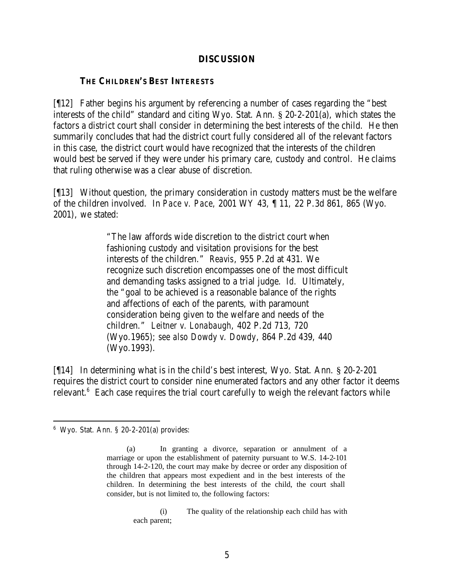### **DISCUSSION**

## **THE CHILDREN'S BEST INTERESTS**

[¶12] Father begins his argument by referencing a number of cases regarding the "best interests of the child" standard and citing Wyo. Stat. Ann. § 20-2-201(a), which states the factors a district court shall consider in determining the best interests of the child. He then summarily concludes that had the district court fully considered all of the relevant factors in this case, the district court would have recognized that the interests of the children would best be served if they were under his primary care, custody and control. He claims that ruling otherwise was a clear abuse of discretion.

[¶13] Without question, the primary consideration in custody matters must be the welfare of the children involved. In *Pace v. Pace,* 2001 WY 43, ¶ 11, 22 P.3d 861, 865 (Wyo. 2001), we stated:

> "The law affords wide discretion to the district court when fashioning custody and visitation provisions for the best interests of the children." *Reavis*, 955 P.2d at 431. We recognize such discretion encompasses one of the most difficult and demanding tasks assigned to a trial judge. *Id.* Ultimately, the "goal to be achieved is a reasonable balance of the rights and affections of each of the parents, with paramount consideration being given to the welfare and needs of the children." *Leitner v. Lonabaugh*, 402 P.2d 713, 720 (Wyo.1965); *see also Dowdy v. Dowdy*, 864 P.2d 439, 440 (Wyo.1993).

[¶14] In determining what is in the child's best interest, Wyo. Stat. Ann. § 20-2-201 requires the district court to consider nine enumerated factors and any other factor it deems relevant. $6$  Each case requires the trial court carefully to weigh the relevant factors while

(i) The quality of the relationship each child has with each parent;

<sup>6</sup> Wyo. Stat. Ann. § 20-2-201(a) provides:

<sup>(</sup>a) In granting a divorce, separation or annulment of a marriage or upon the establishment of paternity pursuant to W.S. 14-2-101 through 14-2-120, the court may make by decree or order any disposition of the children that appears most expedient and in the best interests of the children. In determining the best interests of the child, the court shall consider, but is not limited to, the following factors: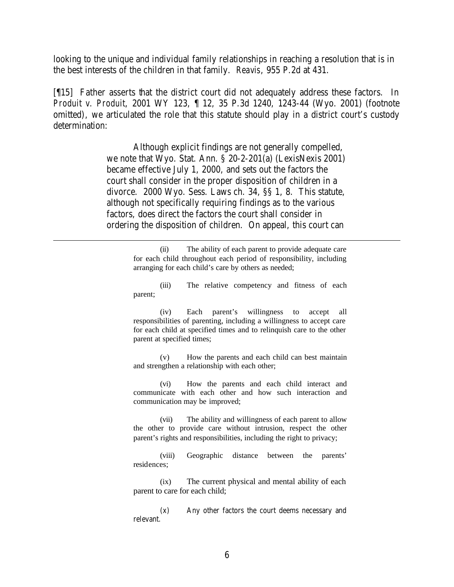looking to the unique and individual family relationships in reaching a resolution that is in the best interests of the children in that family. *Reavis*, 955 P.2d at 431.

[¶15] Father asserts that the district court did not adequately address these factors. In *Produit v. Produit*, 2001 WY 123, ¶ 12, 35 P.3d 1240, 1243-44 (Wyo. 2001) (footnote omitted), we articulated the role that this statute should play in a district court's custody determination:

> Although explicit findings are not generally compelled, we note that Wyo. Stat. Ann. § 20-2-201(a) (LexisNexis 2001) became effective July 1, 2000, and sets out the factors the court shall consider in the proper disposition of children in a divorce. 2000 Wyo. Sess. Laws ch. 34, §§ 1, 8. This statute, although not specifically requiring findings as to the various factors, does direct the factors the court shall consider in ordering the disposition of children. On appeal, this court can

(ii) The ability of each parent to provide adequate care for each child throughout each period of responsibility, including arranging for each child's care by others as needed;

(iii) The relative competency and fitness of each parent;

(iv) Each parent's willingness to accept all responsibilities of parenting, including a willingness to accept care for each child at specified times and to relinquish care to the other parent at specified times;

(v) How the parents and each child can best maintain and strengthen a relationship with each other;

(vi) How the parents and each child interact and communicate with each other and how such interaction and communication may be improved;

(vii) The ability and willingness of each parent to allow the other to provide care without intrusion, respect the other parent's rights and responsibilities, including the right to privacy;

(viii) Geographic distance between the parents' residences;

(ix) The current physical and mental ability of each parent to care for each child;

(x) Any other factors the court deems necessary and relevant.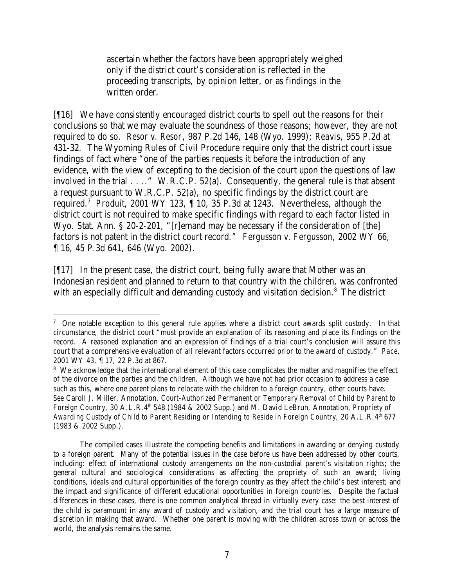ascertain whether the factors have been appropriately weighed only if the district court's consideration is reflected in the proceeding transcripts, by opinion letter, or as findings in the written order.

[¶16] We have consistently encouraged district courts to spell out the reasons for their conclusions so that we may evaluate the soundness of those reasons; however, they are not required to do so. *Resor v. Resor*, 987 P.2d 146, 148 (Wyo. 1999); *Reavis,* 955 P.2d at 431-32. The Wyoming Rules of Civil Procedure require only that the district court issue findings of fact where "one of the parties requests it before the introduction of any evidence, with the view of excepting to the decision of the court upon the questions of law involved in the trial . . .." W.R.C.P. 52(a). Consequently, the general rule is that absent a request pursuant to W.R.C.P. 52(a), no specific findings by the district court are required.<sup>7</sup> Produit, 2001 WY 123, 1 10, 35 P.3d at 1243. Nevertheless, although the district court is not required to make specific findings with regard to each factor listed in Wyo. Stat. Ann. § 20-2-201, "[r]emand may be necessary if the consideration of [the] factors is not patent in the district court record."*Fergusson v. Fergusson*, 2002 WY 66, ¶ 16, 45 P.3d 641, 646 (Wyo. 2002).

[¶17] In the present case, the district court, being fully aware that Mother was an Indonesian resident and planned to return to that country with the children, was confronted with an especially difficult and demanding custody and visitation decision.<sup>8</sup> The district

The compiled cases illustrate the competing benefits and limitations in awarding or denying custody to a foreign parent. Many of the potential issues in the case before us have been addressed by other courts, including: effect of international custody arrangements on the non-custodial parent's visitation rights; the general cultural and sociological considerations as affecting the propriety of such an award; living conditions, ideals and cultural opportunities of the foreign country as they affect the child's best interest; and the impact and significance of different educational opportunities in foreign countries. Despite the factual differences in these cases, there is one common analytical thread in virtually every case: the best interest of the child is paramount in any award of custody and visitation, and the trial court has a large measure of discretion in making that award. Whether one parent is moving with the children across town or across the world, the analysis remains the same.

 <sup>7</sup> One notable exception to this general rule applies where a district court awards split custody. In that circumstance, the district court "must provide an explanation of its reasoning and place its findings on the record. A reasoned explanation and an expression of findings of a trial court's conclusion will assure this court that a comprehensive evaluation of all relevant factors occurred prior to the award of custody." *Pace*, 2001 WY 43, ¶ 17, 22 P.3d at 867.

<sup>&</sup>lt;sup>8</sup> We acknowledge that the international element of this case complicates the matter and magnifies the effect of the divorce on the parties and the children. Although we have not had prior occasion to address a case such as this, where one parent plans to relocate with the children to a foreign country, other courts have. *See* Caroll J. Miller, Annotation, *Court-Authorized Permanent or Temporary Removal of Child by Parent to Foreign Country, 30 A.L.R.4<sup>th</sup> 548 (1984 & 2002 Supp.) and M. David LeBrun, Annotation, Propriety of Awarding Custody of Child to Parent Residing or Intending to Reside in Foreign Country, 20 A.L.R.4<sup>th</sup> 677* (1983 & 2002 Supp.).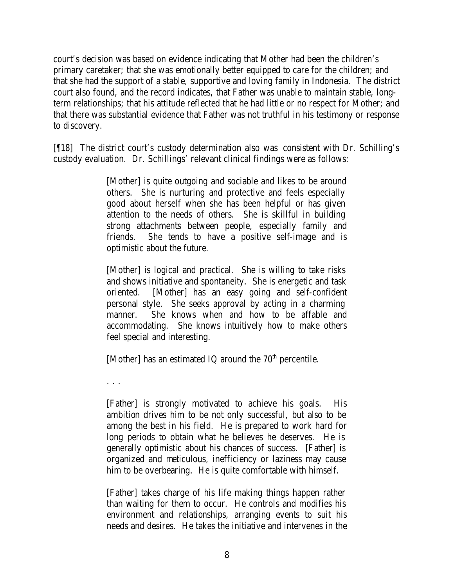court's decision was based on evidence indicating that Mother had been the children's primary caretaker; that she was emotionally better equipped to care for the children; and that she had the support of a stable, supportive and loving family in Indonesia. The district court also found, and the record indicates, that Father was unable to maintain stable, longterm relationships; that his attitude reflected that he had little or no respect for Mother; and that there was substantial evidence that Father was not truthful in his testimony or response to discovery.

[¶18] The district court's custody determination also was consistent with Dr. Schilling's custody evaluation. Dr. Schillings' relevant clinical findings were as follows:

> [Mother] is quite outgoing and sociable and likes to be around others. She is nurturing and protective and feels especially good about herself when she has been helpful or has given attention to the needs of others. She is skillful in building strong attachments between people, especially family and friends. She tends to have a positive self-image and is optimistic about the future.

> [Mother] is logical and practical. She is willing to take risks and shows initiative and spontaneity. She is energetic and task oriented. [Mother] has an easy going and self-confident personal style. She seeks approval by acting in a charming manner. She knows when and how to be affable and accommodating. She knows intuitively how to make others feel special and interesting.

[Mother] has an estimated IQ around the  $70<sup>th</sup>$  percentile.

. . .

[Father] is strongly motivated to achieve his goals. His ambition drives him to be not only successful, but also to be among the best in his field. He is prepared to work hard for long periods to obtain what he believes he deserves. He is generally optimistic about his chances of success. [Father] is organized and meticulous, inefficiency or laziness may cause him to be overbearing. He is quite comfortable with himself.

[Father] takes charge of his life making things happen rather than waiting for them to occur. He controls and modifies his environment and relationships, arranging events to suit his needs and desires. He takes the initiative and intervenes in the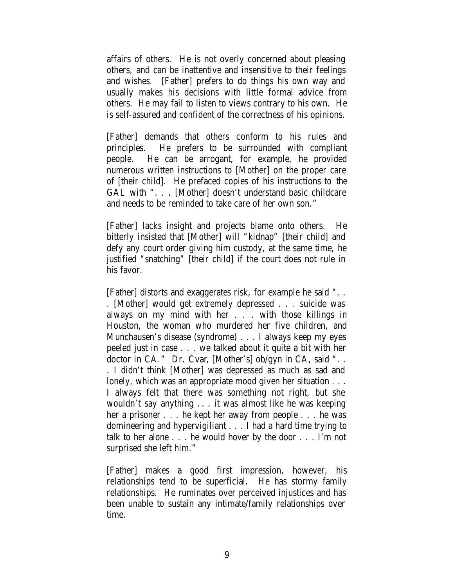affairs of others. He is not overly concerned about pleasing others, and can be inattentive and insensitive to their feelings and wishes. [Father] prefers to do things his own way and usually makes his decisions with little formal advice from others. He may fail to listen to views contrary to his own. He is self-assured and confident of the correctness of his opinions.

[Father] demands that others conform to his rules and principles. He prefers to be surrounded with compliant people. He can be arrogant, for example, he provided numerous written instructions to [Mother] on the proper care of [their child]. He prefaced copies of his instructions to the GAL with ". . . [Mother] doesn't understand basic childcare and needs to be reminded to take care of her own son."

[Father] lacks insight and projects blame onto others. He bitterly insisted that [Mother] will "kidnap" [their child] and defy any court order giving him custody, at the same time, he justified "snatching" [their child] if the court does not rule in his favor.

[Father] distorts and exaggerates risk, for example he said ". . . [Mother] would get extremely depressed . . . suicide was always on my mind with her . . . with those killings in Houston, the woman who murdered her five children, and Munchausen's disease (syndrome) . . . I always keep my eyes peeled just in case . . . we talked about it quite a bit with her doctor in CA." Dr. Cvar, [Mother's] ob/gyn in CA, said ".. . I didn't think [Mother] was depressed as much as sad and lonely, which was an appropriate mood given her situation . . . I always felt that there was something not right, but she wouldn't say anything .. . it was almost like he was keeping her a prisoner . . . he kept her away from people . . . he was domineering and hypervigiliant . . . I had a hard time trying to talk to her alone . . . he would hover by the door . . . I'm not surprised she left him."

[Father] makes a good first impression, however, his relationships tend to be superficial. He has stormy family relationships. He ruminates over perceived injustices and has been unable to sustain any intimate/family relationships over time.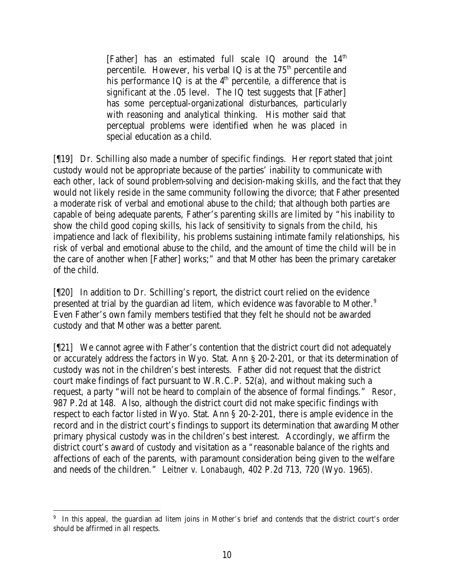[Father] has an estimated full scale IQ around the  $14<sup>th</sup>$ percentile. However, his verbal IQ is at the  $75<sup>th</sup>$  percentile and his performance IQ is at the  $4<sup>th</sup>$  percentile, a difference that is significant at the .05 level. The IQ test suggests that [Father] has some perceptual-organizational disturbances, particularly with reasoning and analytical thinking. His mother said that perceptual problems were identified when he was placed in special education as a child.

[¶19] Dr. Schilling also made a number of specific findings. Her report stated that joint custody would not be appropriate because of the parties' inability to communicate with each other, lack of sound problem-solving and decision-making skills, and the fact that they would not likely reside in the same community following the divorce; that Father presented a moderate risk of verbal and emotional abuse to the child; that although both parties are capable of being adequate parents, Father's parenting skills are limited by "his inability to show the child good coping skills, his lack of sensitivity to signals from the child, his impatience and lack of flexibility, his problems sustaining intimate family relationships, his risk of verbal and emotional abuse to the child, and the amount of time the child will be in the care of another when [Father] works;" and that Mother has been the primary caretaker of the child.

[¶20] In addition to Dr. Schilling's report, the district court relied on the evidence presented at trial by the guardian ad litem*,* which evidence was favorable to Mother.<sup>9</sup> Even Father's own family members testified that they felt he should not be awarded custody and that Mother was a better parent.

[¶21] We cannot agree with Father's contention that the district court did not adequately or accurately address the factors in Wyo. Stat. Ann § 20-2-201, or that its determination of custody was not in the children's best interests. Father did not request that the district court make findings of fact pursuant to W.R.C.P. 52(a), and without making such a request, a party "will not be heard to complain of the absence of formal findings." *Resor*, 987 P.2d at 148. Also, although the district court did not make specific findings with respect to each factor listed in Wyo. Stat. Ann § 20-2-201, there is ample evidence in the record and in the district court's findings to support its determination that awarding Mother primary physical custody was in the children's best interest. Accordingly, we affirm the district court's award of custody and visitation as a "reasonable balance of the rights and affections of each of the parents, with paramount consideration being given to the welfare and needs of the children." *Leitner v. Lonabaugh*, 402 P.2d 713, 720 (Wyo. 1965).

 <sup>9</sup> In this appeal, the guardian ad litem joins in Mother's brief and contends that the district court's order should be affirmed in all respects.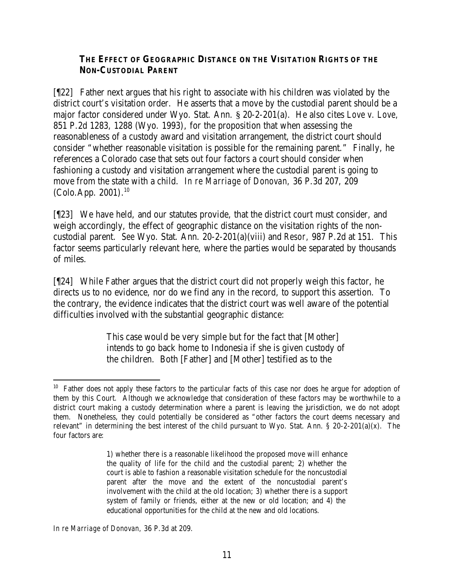## **THE EFFECT OF GEOGRAPHIC DISTANCE ON THE VISITATION RIGHTS OF THE NON-CUSTODIAL PARENT**

[¶22] Father next argues that his right to associate with his children was violated by the district court's visitation order. He asserts that a move by the custodial parent should be a major factor considered under Wyo. Stat. Ann. § 20-2-201(a). He also cites *Love v. Love,* 851 P.2d 1283, 1288 (Wyo. 1993), for the proposition that when assessing the reasonableness of a custody award and visitation arrangement, the district court should consider "whether reasonable visitation is possible for the remaining parent." Finally, he references a Colorado case that sets out four factors a court should consider when fashioning a custody and visitation arrangement where the custodial parent is going to move from the state with a child. *In re Marriage of Donovan,* 36 P.3d 207, 209 (Colo.App. 2001). 10

[¶23] We have held, and our statutes provide, that the district court must consider, and weigh accordingly, the effect of geographic distance on the visitation rights of the noncustodial parent. *See* Wyo. Stat. Ann. 20-2-201(a)(viii) and *Resor,* 987 P.2d at 151. This factor seems particularly relevant here, where the parties would be separated by thousands of miles.

[¶24] While Father argues that the district court did not properly weigh this factor, he directs us to no evidence, nor do we find any in the record, to support this assertion. To the contrary, the evidence indicates that the district court was well aware of the potential difficulties involved with the substantial geographic distance:

> This case would be very simple but for the fact that [Mother] intends to go back home to Indonesia if she is given custody of the children. Both [Father] and [Mother] testified as to the

*In re Marriage of Donovan,* 36 P.3d at 209.

 <sup>10</sup> Father does not apply these factors to the particular facts of this case nor does he argue for adoption of them by this Court. Although we acknowledge that consideration of these factors may be worthwhile to a district court making a custody determination where a parent is leaving the jurisdiction, we do not adopt them. Nonetheless, they could potentially be considered as "other factors the court deems necessary and relevant" in determining the best interest of the child pursuant to Wyo. Stat. Ann. § 20-2-201(a)(x). The four factors are:

<sup>1)</sup> whether there is a reasonable likelihood the proposed move will enhance the quality of life for the child and the custodial parent; 2) whether the court is able to fashion a reasonable visitation schedule for the noncustodial parent after the move and the extent of the noncustodial parent's involvement with the child at the old location; 3) whether there is a support system of family or friends, either at the new or old location; and 4) the educational opportunities for the child at the new and old locations.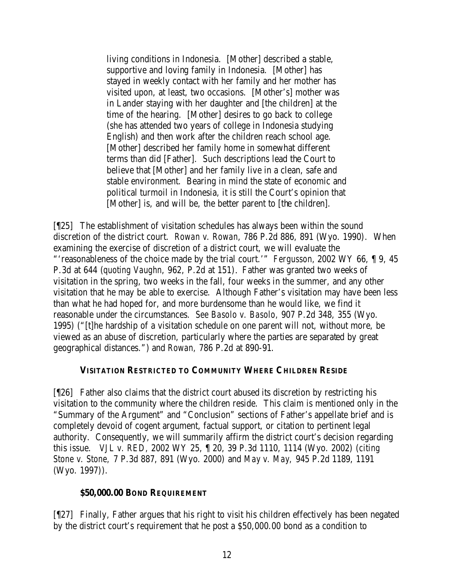living conditions in Indonesia. [Mother] described a stable, supportive and loving family in Indonesia. [Mother] has stayed in weekly contact with her family and her mother has visited upon, at least, two occasions. [Mother's] mother was in Lander staying with her daughter and [the children] at the time of the hearing. [Mother] desires to go back to college (she has attended two years of college in Indonesia studying English) and then work after the children reach school age. [Mother] described her family home in somewhat different terms than did [Father]. Such descriptions lead the Court to believe that [Mother] and her family live in a clean, safe and stable environment. Bearing in mind the state of economic and political turmoil in Indonesia, it is still the Court's opinion that [Mother] is, and will be, the better parent to [the children].

[¶25] The establishment of visitation schedules has always been within the sound discretion of the district court. *Rowan v. Rowan*, 786 P.2d 886, 891 (Wyo. 1990). When examining the exercise of discretion of a district court, we will evaluate the "'reasonableness of the choice made by the trial court.'" *Fergusson,* 2002 WY 66, ¶ 9, 45 P.3d at 644 (*quoting Vaughn*, 962, P.2d at 151). Father was granted two weeks of visitation in the spring, two weeks in the fall, four weeks in the summer, and any other visitation that he may be able to exercise. Although Father's visitation may have been less than what he had hoped for, and more burdensome than he would like, we find it reasonable under the circumstances. *See Basolo v. Basolo,* 907 P.2d 348, 355 (Wyo. 1995) ("[t]he hardship of a visitation schedule on one parent will not, without more, be viewed as an abuse of discretion, particularly where the parties are separated by great geographical distances.") and *Rowan,* 786 P.2d at 890-91.

### **VISITATION RESTRICTED TO COMMUNITY WHERE CHILDREN RESIDE**

[¶26] Father also claims that the district court abused its discretion by restricting his visitation to the community where the children reside. This claim is mentioned only in the "Summary of the Argument" and "Conclusion" sections of Father's appellate brief and is completely devoid of cogent argument, factual support, or citation to pertinent legal authority. Consequently, we will summarily affirm the district court's decision regarding this issue. *VJL v. RED,* 2002 WY 25, ¶ 20, 39 P.3d 1110, 1114 (Wyo. 2002) (*citing Stone v. Stone,* 7 P.3d 887, 891 (Wyo. 2000) and *May v. May,* 945 P.2d 1189, 1191 (Wyo. 1997)).

### **\$50,000.00 BOND REQUIREMENT**

[¶27] Finally, Father argues that his right to visit his children effectively has been negated by the district court's requirement that he post a \$50,000.00 bond as a condition to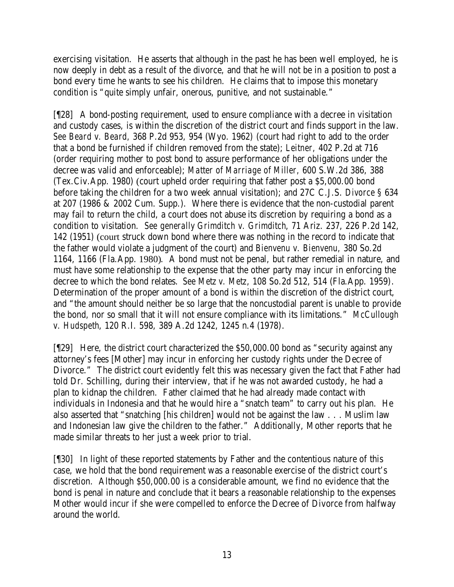exercising visitation. He asserts that although in the past he has been well employed, he is now deeply in debt as a result of the divorce, and that he will not be in a position to post a bond every time he wants to see his children. He claims that to impose this monetary condition is "quite simply unfair, onerous, punitive, and not sustainable."

[¶28] A bond-posting requirement, used to ensure compliance with a decree in visitation and custody cases, is within the discretion of the district court and finds support in the law. *See Beard v. Beard,* 368 P.2d 953, 954 (Wyo. 1962) (court had right to add to the order that a bond be furnished if children removed from the state); *Leitner,* 402 P.2d at 716 (order requiring mother to post bond to assure performance of her obligations under the decree was valid and enforceable); *Matter of Marriage of Miller,* 600 S.W.2d 386, 388 (Tex.Civ.App. 1980) (court upheld order requiring that father post a \$5,000.00 bond before taking the children for a two week annual visitation); and 27C C.J.S. *Divorce* § 634 at 207 (1986 & 2002 Cum. Supp.). Where there is evidence that the non-custodial parent may fail to return the child, a court does not abuse its discretion by requiring a bond as a condition to visitation. *See generally Grimditch v. Grimditch*, 71 Ariz. 237, 226 P.2d 142, 142 (1951) (court struck down bond where there was nothing in the record to indicate that the father would violate a judgment of the court) and *Bienvenu v. Bienvenu,* 380 So.2d 1164, 1166 (Fla.App. 1980). A bond must not be penal, but rather remedial in nature, and must have some relationship to the expense that the other party may incur in enforcing the decree to which the bond relates.*See Metz v. Metz*, 108 So.2d 512, 514 (Fla.App. 1959). Determination of the proper amount of a bond is within the discretion of the district court, and "the amount should neither be so large that the noncustodial parent is unable to provide the bond, nor so small that it will not ensure compliance with its limitations." *McCullough v. Hudspeth*, 120 R.I. 598, 389 A.2d 1242, 1245 n.4 (1978).

[¶29] Here, the district court characterized the \$50,000.00 bond as "security against any attorney's fees [Mother] may incur in enforcing her custody rights under the Decree of Divorce." The district court evidently felt this was necessary given the fact that Father had told Dr. Schilling, during their interview, that if he was not awarded custody, he had a plan to kidnap the children. Father claimed that he had already made contact with individuals in Indonesia and that he would hire a "snatch team" to carry out his plan. He also asserted that "snatching [his children] would not be against the law . . . Muslim law and Indonesian law give the children to the father." Additionally, Mother reports that he made similar threats to her just a week prior to trial.

[¶30] In light of these reported statements by Father and the contentious nature of this case, we hold that the bond requirement was a reasonable exercise of the district court's discretion. Although \$50,000.00 is a considerable amount, we find no evidence that the bond is penal in nature and conclude that it bears a reasonable relationship to the expenses Mother would incur if she were compelled to enforce the Decree of Divorce from halfway around the world.